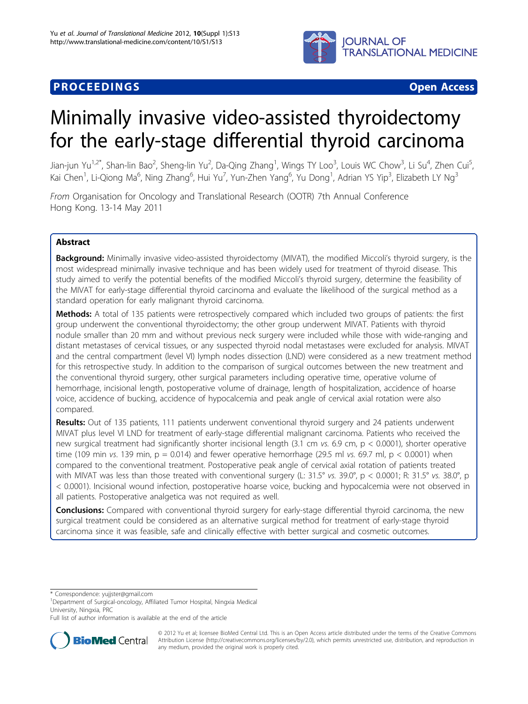

# **PROCEEDINGS STATES CONSUMING S** Open Access **CONSUMING S**

# Minimally invasive video-assisted thyroidectomy for the early-stage differential thyroid carcinoma

Jian-jun Yu<sup>1,2\*</sup>, Shan-lin Bao<sup>2</sup>, Sheng-lin Yu<sup>2</sup>, Da-Qing Zhang<sup>1</sup>, Wings TY Loo<sup>3</sup>, Louis WC Chow<sup>3</sup>, Li Su<sup>4</sup>, Zhen Cui<sup>5</sup> , Kai Chen<sup>1</sup>, Li-Qiong Ma<sup>6</sup>, Ning Zhang<sup>6</sup>, Hui Yu<sup>7</sup>, Yun-Zhen Yang<sup>6</sup>, Yu Dong<sup>1</sup>, Adrian YS Yip<sup>3</sup>, Elizabeth LY Ng<sup>3</sup>

From Organisation for Oncology and Translational Research (OOTR) 7th Annual Conference Hong Kong. 13-14 May 2011

# Abstract

Background: Minimally invasive video-assisted thyroidectomy (MIVAT), the modified Miccoli's thyroid surgery, is the most widespread minimally invasive technique and has been widely used for treatment of thyroid disease. This study aimed to verify the potential benefits of the modified Miccoli's thyroid surgery, determine the feasibility of the MIVAT for early-stage differential thyroid carcinoma and evaluate the likelihood of the surgical method as a standard operation for early malignant thyroid carcinoma.

Methods: A total of 135 patients were retrospectively compared which included two groups of patients: the first group underwent the conventional thyroidectomy; the other group underwent MIVAT. Patients with thyroid nodule smaller than 20 mm and without previous neck surgery were included while those with wide-ranging and distant metastases of cervical tissues, or any suspected thyroid nodal metastases were excluded for analysis. MIVAT and the central compartment (level VI) lymph nodes dissection (LND) were considered as a new treatment method for this retrospective study. In addition to the comparison of surgical outcomes between the new treatment and the conventional thyroid surgery, other surgical parameters including operative time, operative volume of hemorrhage, incisional length, postoperative volume of drainage, length of hospitalization, accidence of hoarse voice, accidence of bucking, accidence of hypocalcemia and peak angle of cervical axial rotation were also compared.

Results: Out of 135 patients, 111 patients underwent conventional thyroid surgery and 24 patients underwent MIVAT plus level VI LND for treatment of early-stage differential malignant carcinoma. Patients who received the new surgical treatment had significantly shorter incisional length (3.1 cm vs. 6.9 cm, p < 0.0001), shorter operative time (109 min vs. 139 min,  $p = 0.014$ ) and fewer operative hemorrhage (29.5 ml vs. 69.7 ml,  $p < 0.0001$ ) when compared to the conventional treatment. Postoperative peak angle of cervical axial rotation of patients treated with MIVAT was less than those treated with conventional surgery (L: 31.5° vs. 39.0°, p < 0.0001; R: 31.5° vs. 38.0°, p < 0.0001). Incisional wound infection, postoperative hoarse voice, bucking and hypocalcemia were not observed in all patients. Postoperative analgetica was not required as well.

**Conclusions:** Compared with conventional thyroid surgery for early-stage differential thyroid carcinoma, the new surgical treatment could be considered as an alternative surgical method for treatment of early-stage thyroid carcinoma since it was feasible, safe and clinically effective with better surgical and cosmetic outcomes.

\* Correspondence: [yujjster@gmail.com](mailto:yujjster@gmail.com)

Full list of author information is available at the end of the article



© 2012 Yu et al; licensee BioMed Central Ltd. This is an Open Access article distributed under the terms of the Creative Commons Attribution License [\(http://creativecommons.org/licenses/by/2.0](http://creativecommons.org/licenses/by/2.0)), which permits unrestricted use, distribution, and reproduction in any medium, provided the original work is properly cited.

<sup>&</sup>lt;sup>1</sup>Department of Surgical-oncology, Affiliated Tumor Hospital, Ningxia Medical University, Ningxia, PRC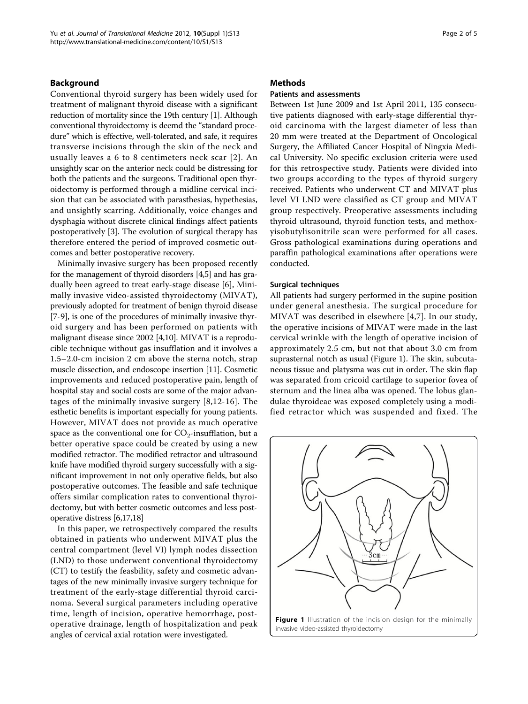### Background

Conventional thyroid surgery has been widely used for treatment of malignant thyroid disease with a significant reduction of mortality since the 19th century [\[1](#page-4-0)]. Although conventional thyroidectomy is deemd the "standard procedure" which is effective, well-tolerated, and safe, it requires transverse incisions through the skin of the neck and usually leaves a 6 to 8 centimeters neck scar [[2](#page-4-0)]. An unsightly scar on the anterior neck could be distressing for both the patients and the surgeons. Traditional open thyroidectomy is performed through a midline cervical incision that can be associated with parasthesias, hypethesias, and unsightly scarring. Additionally, voice changes and dysphagia without discrete clinical findings affect patients postoperatively [[3\]](#page-4-0). The evolution of surgical therapy has therefore entered the period of improved cosmetic outcomes and better postoperative recovery.

Minimally invasive surgery has been proposed recently for the management of thyroid disorders [\[4,5\]](#page-4-0) and has gradually been agreed to treat early-stage disease [[6\]](#page-4-0), Minimally invasive video-assisted thyroidectomy (MIVAT), previously adopted for treatment of benign thyroid disease [[7-9](#page-4-0)], is one of the procedures of minimally invasive thyroid surgery and has been performed on patients with malignant disease since 2002 [[4,10\]](#page-4-0). MIVAT is a reproducible technique without gas insufflation and it involves a 1.5–2.0-cm incision 2 cm above the sterna notch, strap muscle dissection, and endoscope insertion [\[11](#page-4-0)]. Cosmetic improvements and reduced postoperative pain, length of hospital stay and social costs are some of the major advantages of the minimally invasive surgery [[8,12-16\]](#page-4-0). The esthetic benefits is important especially for young patients. However, MIVAT does not provide as much operative space as the conventional one for  $CO_2$ -insufflation, but a better operative space could be created by using a new modified retractor. The modified retractor and ultrasound knife have modified thyroid surgery successfully with a significant improvement in not only operative fields, but also postoperative outcomes. The feasible and safe technique offers similar complication rates to conventional thyroidectomy, but with better cosmetic outcomes and less postoperative distress [\[6,17,18\]](#page-4-0)

In this paper, we retrospectively compared the results obtained in patients who underwent MIVAT plus the central compartment (level VI) lymph nodes dissection (LND) to those underwent conventional thyroidectomy (CT) to testify the feasbility, safety and cosmetic advantages of the new minimally invasive surgery technique for treatment of the early-stage differential thyroid carcinoma. Several surgical parameters including operative time, length of incision, operative hemorrhage, postoperative drainage, length of hospitalization and peak angles of cervical axial rotation were investigated.

#### Methods

# Patients and assessments

Between 1st June 2009 and 1st April 2011, 135 consecutive patients diagnosed with early-stage differential thyroid carcinoma with the largest diameter of less than 20 mm were treated at the Department of Oncological Surgery, the Affiliated Cancer Hospital of Ningxia Medical University. No specific exclusion criteria were used for this retrospective study. Patients were divided into two groups according to the types of thyroid surgery received. Patients who underwent CT and MIVAT plus level VI LND were classified as CT group and MIVAT group respectively. Preoperative assessments including thyroid ultrasound, thyroid function tests, and methoxyisobutylisonitrile scan were performed for all cases. Gross pathological examinations during operations and paraffin pathological examinations after operations were conducted.

#### Surgical techniques

All patients had surgery performed in the supine position under general anesthesia. The surgical procedure for MIVAT was described in elsewhere [[4,7](#page-4-0)]. In our study, the operative incisions of MIVAT were made in the last cervical wrinkle with the length of operative incision of approximately 2.5 cm, but not that about 3.0 cm from suprasternal notch as usual (Figure 1). The skin, subcutaneous tissue and platysma was cut in order. The skin flap was separated from cricoid cartilage to superior fovea of sternum and the linea alba was opened. The lobus glandulae thyroideae was exposed completely using a modified retractor which was suspended and fixed. The

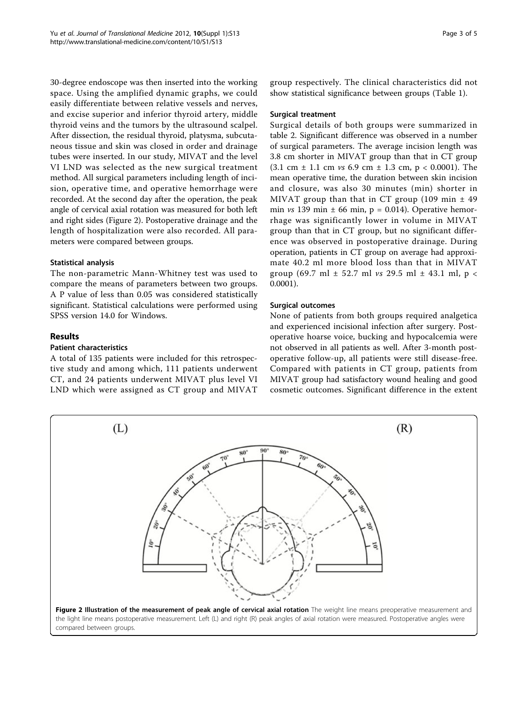30-degree endoscope was then inserted into the working space. Using the amplified dynamic graphs, we could easily differentiate between relative vessels and nerves, and excise superior and inferior thyroid artery, middle thyroid veins and the tumors by the ultrasound scalpel. After dissection, the residual thyroid, platysma, subcutaneous tissue and skin was closed in order and drainage tubes were inserted. In our study, MIVAT and the level VI LND was selected as the new surgical treatment method. All surgical parameters including length of incision, operative time, and operative hemorrhage were recorded. At the second day after the operation, the peak angle of cervical axial rotation was measured for both left and right sides (Figure 2). Postoperative drainage and the length of hospitalization were also recorded. All parameters were compared between groups.

# Statistical analysis

The non-parametric Mann-Whitney test was used to compare the means of parameters between two groups. A P value of less than 0.05 was considered statistically significant. Statistical calculations were performed using SPSS version 14.0 for Windows.

# **Results**

# Patient characteristics

A total of 135 patients were included for this retrospective study and among which, 111 patients underwent CT, and 24 patients underwent MIVAT plus level VI LND which were assigned as CT group and MIVAT

group respectively. The clinical characteristics did not show statistical significance between groups (Table [1](#page-3-0)).

# Surgical treatment

Surgical details of both groups were summarized in table [2.](#page-3-0) Significant difference was observed in a number of surgical parameters. The average incision length was 3.8 cm shorter in MIVAT group than that in CT group  $(3.1 \text{ cm } \pm 1.1 \text{ cm } \nu s \text{ 6.9 cm } \pm 1.3 \text{ cm}, \text{ p } < 0.0001)$ . The mean operative time, the duration between skin incision and closure, was also 30 minutes (min) shorter in MIVAT group than that in CT group (109 min  $\pm$  49 min  $vs$  139 min  $\pm$  66 min, p = 0.014). Operative hemorrhage was significantly lower in volume in MIVAT group than that in CT group, but no significant difference was observed in postoperative drainage. During operation, patients in CT group on average had approximate 40.2 ml more blood loss than that in MIVAT group (69.7 ml  $\pm$  52.7 ml *vs* 29.5 ml  $\pm$  43.1 ml, p < 0.0001).

# Surgical outcomes

None of patients from both groups required analgetica and experienced incisional infection after surgery. Postoperative hoarse voice, bucking and hypocalcemia were not observed in all patients as well. After 3-month postoperative follow-up, all patients were still disease-free. Compared with patients in CT group, patients from MIVAT group had satisfactory wound healing and good cosmetic outcomes. Significant difference in the extent

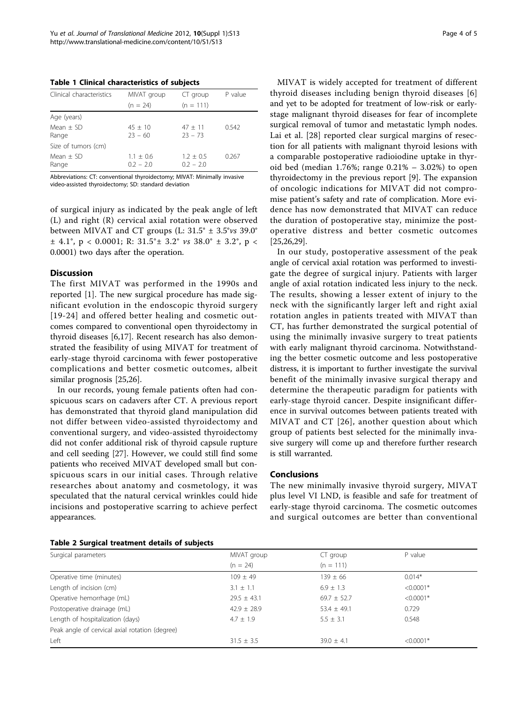<span id="page-3-0"></span>Table 1 Clinical characteristics of subjects

| Clinical characteristics | MIVAT group                | CT group                   | P value |
|--------------------------|----------------------------|----------------------------|---------|
|                          | $(n = 24)$                 | $(n = 111)$                |         |
| Age (years)              |                            |                            |         |
| $Mean + SD$<br>Range     | $45 + 10$<br>$23 - 60$     | $47 + 11$<br>$23 - 73$     | 0.542   |
| Size of tumors (cm)      |                            |                            |         |
| Mean $+$ SD<br>Range     | $1.1 + 0.6$<br>$0.2 - 2.0$ | $1.2 + 0.5$<br>$0.2 - 2.0$ | 0.267   |

Abbreviations: CT: conventional thyroidectomy; MIVAT: Minimally invasive video-assisted thyroidectomy; SD: standard deviation

of surgical injury as indicated by the peak angle of left (L) and right (R) cervical axial rotation were observed between MIVAT and CT groups (L:  $31.5^{\circ} \pm 3.5^{\circ}$ vs 39.0°  $\pm$  4.1°, p < 0.0001; R: 31.5° $\pm$  3.2° vs 38.0°  $\pm$  3.2°, p < 0.0001) two days after the operation.

#### **Discussion**

The first MIVAT was performed in the 1990s and reported [[1\]](#page-4-0). The new surgical procedure has made significant evolution in the endoscopic thyroid surgery [[19-24\]](#page-4-0) and offered better healing and cosmetic outcomes compared to conventional open thyroidectomy in thyroid diseases [\[6,17](#page-4-0)]. Recent research has also demonstrated the feasibility of using MIVAT for treatment of early-stage thyroid carcinoma with fewer postoperative complications and better cosmetic outcomes, albeit similar prognosis [\[25,26\]](#page-4-0).

In our records, young female patients often had conspicuous scars on cadavers after CT. A previous report has demonstrated that thyroid gland manipulation did not differ between video-assisted thyroidectomy and conventional surgery, and video-assisted thyroidectomy did not confer additional risk of thyroid capsule rupture and cell seeding [[27\]](#page-4-0). However, we could still find some patients who received MIVAT developed small but conspicuous scars in our initial cases. Through relative researches about anatomy and cosmetology, it was speculated that the natural cervical wrinkles could hide incisions and postoperative scarring to achieve perfect appearances.

| Page 4 of 5 |  |  |  |
|-------------|--|--|--|
|-------------|--|--|--|

MIVAT is widely accepted for treatment of different thyroid diseases including benign thyroid diseases [[6](#page-4-0)] and yet to be adopted for treatment of low-risk or earlystage malignant thyroid diseases for fear of incomplete surgical removal of tumor and metastatic lymph nodes. Lai et al. [[28\]](#page-4-0) reported clear surgical margins of resection for all patients with malignant thyroid lesions with a comparable postoperative radioiodine uptake in thyroid bed (median 1.76%; range 0.21% – 3.02%) to open thyroidectomy in the previous report [\[9](#page-4-0)]. The expansion of oncologic indications for MIVAT did not compromise patient's safety and rate of complication. More evidence has now demonstrated that MIVAT can reduce the duration of postoperative stay, minimize the postoperative distress and better cosmetic outcomes [[25,26,29](#page-4-0)].

In our study, postoperative assessment of the peak angle of cervical axial rotation was performed to investigate the degree of surgical injury. Patients with larger angle of axial rotation indicated less injury to the neck. The results, showing a lesser extent of injury to the neck with the significantly larger left and right axial rotation angles in patients treated with MIVAT than CT, has further demonstrated the surgical potential of using the minimally invasive surgery to treat patients with early malignant thyroid carcinoma. Notwithstanding the better cosmetic outcome and less postoperative distress, it is important to further investigate the survival benefit of the minimally invasive surgical therapy and determine the therapeutic paradigm for patients with early-stage thyroid cancer. Despite insignificant difference in survival outcomes between patients treated with MIVAT and CT [[26\]](#page-4-0), another question about which group of patients best selected for the minimally invasive surgery will come up and therefore further research is still warranted.

# **Conclusions**

The new minimally invasive thyroid surgery, MIVAT plus level VI LND, is feasible and safe for treatment of early-stage thyroid carcinoma. The cosmetic outcomes and surgical outcomes are better than conventional

| Surgical parameters                            | MIVAT group     | CT group        | P value     |
|------------------------------------------------|-----------------|-----------------|-------------|
|                                                | $(n = 24)$      | $(n = 111)$     |             |
| Operative time (minutes)                       | $109 + 49$      | $139 \pm 66$    | $0.014*$    |
| Length of incision (cm)                        | $3.1 \pm 1.1$   | $6.9 \pm 1.3$   | $< 0.0001*$ |
| Operative hemorrhage (mL)                      | $29.5 \pm 43.1$ | $69.7 \pm 52.7$ | $< 0.0001*$ |
| Postoperative drainage (mL)                    | $42.9 \pm 28.9$ | $53.4 \pm 49.1$ | 0.729       |
| Length of hospitalization (days)               | $4.7 + 1.9$     | $5.5 \pm 3.1$   | 0.548       |
| Peak angle of cervical axial rotation (degree) |                 |                 |             |
| Left                                           | $31.5 \pm 3.5$  | $39.0 \pm 4.1$  | $< 0.0001*$ |

#### Table 2 Surgical treatment details of subjects